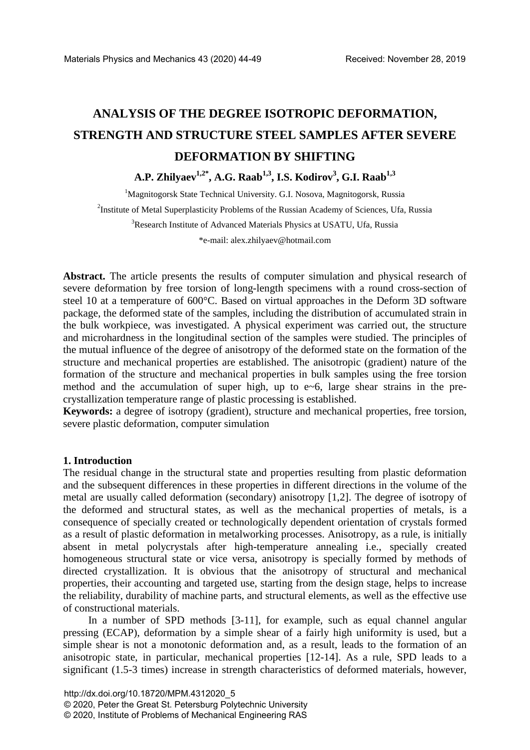# **ANALYSIS OF THE DEGREE ISOTROPIC DEFORMATION, STRENGTH AND STRUCTURE STEEL SAMPLES AFTER SEVERE DEFORMATION BY SHIFTING**

## **A.P. Zhilyaev1,2\* , A.G. Raab1,3, I.S. Kodirov3 , G.I. Raab1,3**

<sup>1</sup>Magnitogorsk State Technical University. G.I. Nosova, Magnitogorsk, Russia <sup>2</sup>Institute of Metal Superplasticity Problems of the Russian Academy of Sciences, Ufa, Russia <sup>3</sup>Research Institute of Advanced Materials Physics at USATU, Ufa, Russia \*e-mail: alex.zhilyaev@hotmail.com

**Abstract.** The article presents the results of computer simulation and physical research of severe deformation by free torsion of long-length specimens with a round cross-section of steel 10 at a temperature of 600°C. Based on virtual approaches in the Deform 3D software package, the deformed state of the samples, including the distribution of accumulated strain in the bulk workpiece, was investigated. A physical experiment was carried out, the structure and microhardness in the longitudinal section of the samples were studied. The principles of the mutual influence of the degree of anisotropy of the deformed state on the formation of the structure and mechanical properties are established. The anisotropic (gradient) nature of the formation of the structure and mechanical properties in bulk samples using the free torsion method and the accumulation of super high, up to e~6, large shear strains in the precrystallization temperature range of plastic processing is established.

**Keywords:** a degree of isotropy (gradient), structure and mechanical properties, free torsion, severe plastic deformation, computer simulation

### **1. Introduction**

The residual change in the structural state and properties resulting from plastic deformation and the subsequent differences in these properties in different directions in the volume of the metal are usually called deformation (secondary) anisotropy [1,2]. The degree of isotropy of the deformed and structural states, as well as the mechanical properties of metals, is a consequence of specially created or technologically dependent orientation of crystals formed as a result of plastic deformation in metalworking processes. Anisotropy, as a rule, is initially absent in metal polycrystals after high-temperature annealing i.e., specially created homogeneous structural state or vice versa, anisotropy is specially formed by methods of directed crystallization. It is obvious that the anisotropy of structural and mechanical properties, their accounting and targeted use, starting from the design stage, helps to increase the reliability, durability of machine parts, and structural elements, as well as the effective use of constructional materials.

In a number of SPD methods [3-11], for example, such as equal channel angular pressing (ECAP), deformation by a simple shear of a fairly high uniformity is used, but a simple shear is not a monotonic deformation and, as a result, leads to the formation of an anisotropic state, in particular, mechanical properties [12-14]. As a rule, SPD leads to a significant (1.5-3 times) increase in strength characteristics of deformed materials, however,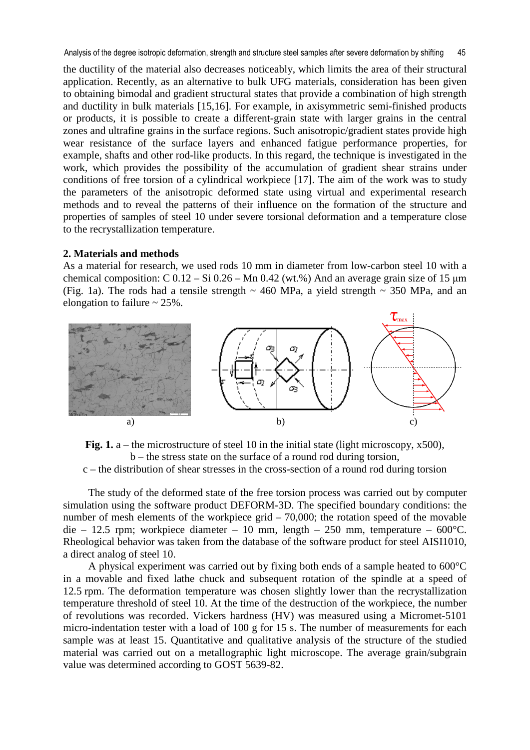the ductility of the material also decreases noticeably, which limits the area of their structural application. Recently, as an alternative to bulk UFG materials, consideration has been given to obtaining bimodal and gradient structural states that provide a combination of high strength and ductility in bulk materials [15,16]. For example, in axisymmetric semi-finished products or products, it is possible to create a different-grain state with larger grains in the central zones and ultrafine grains in the surface regions. Such anisotropic/gradient states provide high wear resistance of the surface layers and enhanced fatigue performance properties, for example, shafts and other rod-like products. In this regard, the technique is investigated in the work, which provides the possibility of the accumulation of gradient shear strains under conditions of free torsion of a cylindrical workpiece [17]. The aim of the work was to study the parameters of the anisotropic deformed state using virtual and experimental research methods and to reveal the patterns of their influence on the formation of the structure and properties of samples of steel 10 under severe torsional deformation and a temperature close to the recrystallization temperature.

#### **2. Materials and methods**

As a material for research, we used rods 10 mm in diameter from low-carbon steel 10 with a chemical composition: C  $0.12 - Si\ 0.26 - Mn\ 0.42$  (wt.%) And an average grain size of 15  $\mu$ m (Fig. 1a). The rods had a tensile strength  $\sim$  460 MPa, a yield strength  $\sim$  350 MPa, and an elongation to failure  $\sim$  25%.



Fig. 1. a – the microstructure of steel 10 in the initial state (light microscopy, x500), b – the stress state on the surface of a round rod during torsion, c – the distribution of shear stresses in the cross-section of a round rod during torsion

The study of the deformed state of the free torsion process was carried out by computer simulation using the software product DEFORM-3D. The specified boundary conditions: the number of mesh elements of the workpiece grid – 70,000; the rotation speed of the movable die – 12.5 rpm; workpiece diameter – 10 mm, length – 250 mm, temperature – 600°C. Rheological behavior was taken from the database of the software product for steel AISI1010, a direct analog of steel 10.

A physical experiment was carried out by fixing both ends of a sample heated to 600°C in a movable and fixed lathe chuck and subsequent rotation of the spindle at a speed of 12.5 rpm. The deformation temperature was chosen slightly lower than the recrystallization temperature threshold of steel 10. At the time of the destruction of the workpiece, the number of revolutions was recorded. Vickers hardness (HV) was measured using a Micromet-5101 micro-indentation tester with a load of 100 g for 15 s. The number of measurements for each sample was at least 15. Quantitative and qualitative analysis of the structure of the studied material was carried out on a metallographic light microscope. The average grain/subgrain value was determined according to GOST 5639-82.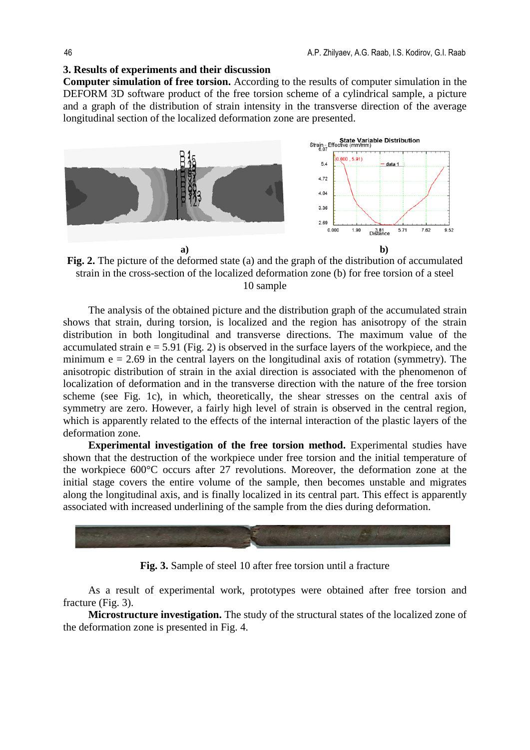#### **3. Results of experiments and their discussion**

**Computer simulation of free torsion.** According to the results of computer simulation in the DEFORM 3D software product of the free torsion scheme of a cylindrical sample, a picture and a graph of the distribution of strain intensity in the transverse direction of the average longitudinal section of the localized deformation zone are presented.



**Fig. 2.** The picture of the deformed state (a) and the graph of the distribution of accumulated strain in the cross-section of the localized deformation zone (b) for free torsion of a steel 10 sample

The analysis of the obtained picture and the distribution graph of the accumulated strain shows that strain, during torsion, is localized and the region has anisotropy of the strain distribution in both longitudinal and transverse directions. The maximum value of the accumulated strain  $e = 5.91$  (Fig. 2) is observed in the surface layers of the workpiece, and the minimum  $e = 2.69$  in the central layers on the longitudinal axis of rotation (symmetry). The anisotropic distribution of strain in the axial direction is associated with the phenomenon of localization of deformation and in the transverse direction with the nature of the free torsion scheme (see Fig. 1c), in which, theoretically, the shear stresses on the central axis of symmetry are zero. However, a fairly high level of strain is observed in the central region, which is apparently related to the effects of the internal interaction of the plastic layers of the deformation zone.

**Experimental investigation of the free torsion method.** Experimental studies have shown that the destruction of the workpiece under free torsion and the initial temperature of the workpiece 600°C occurs after 27 revolutions. Moreover, the deformation zone at the initial stage covers the entire volume of the sample, then becomes unstable and migrates along the longitudinal axis, and is finally localized in its central part. This effect is apparently associated with increased underlining of the sample from the dies during deformation.



**Fig. 3.** Sample of steel 10 after free torsion until a fracture

As a result of experimental work, prototypes were obtained after free torsion and fracture (Fig. 3).

**Microstructure investigation.** The study of the structural states of the localized zone of the deformation zone is presented in Fig. 4.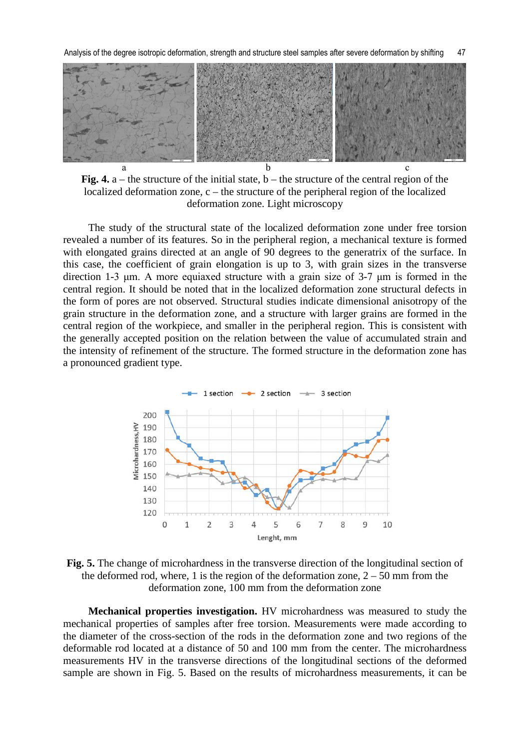Analysis of the degree isotropic deformation, strength and structure steel samples after severe deformation by shifting 47



**Fig. 4.** a – the structure of the initial state, b – the structure of the central region of the localized deformation zone, c – the structure of the peripheral region of the localized deformation zone. Light microscopy

The study of the structural state of the localized deformation zone under free torsion revealed a number of its features. So in the peripheral region, a mechanical texture is formed with elongated grains directed at an angle of 90 degrees to the generatrix of the surface. In this case, the coefficient of grain elongation is up to 3, with grain sizes in the transverse direction 1-3 μm. A more equiaxed structure with a grain size of 3-7 μm is formed in the central region. It should be noted that in the localized deformation zone structural defects in the form of pores are not observed. Structural studies indicate dimensional anisotropy of the grain structure in the deformation zone, and a structure with larger grains are formed in the central region of the workpiece, and smaller in the peripheral region. This is consistent with the generally accepted position on the relation between the value of accumulated strain and the intensity of refinement of the structure. The formed structure in the deformation zone has a pronounced gradient type.



**Fig. 5.** The change of microhardness in the transverse direction of the longitudinal section of the deformed rod, where, 1 is the region of the deformation zone,  $2 - 50$  mm from the deformation zone, 100 mm from the deformation zone

**Mechanical properties investigation.** HV microhardness was measured to study the mechanical properties of samples after free torsion. Measurements were made according to the diameter of the cross-section of the rods in the deformation zone and two regions of the deformable rod located at a distance of 50 and 100 mm from the center. The microhardness measurements HV in the transverse directions of the longitudinal sections of the deformed sample are shown in Fig. 5. Based on the results of microhardness measurements, it can be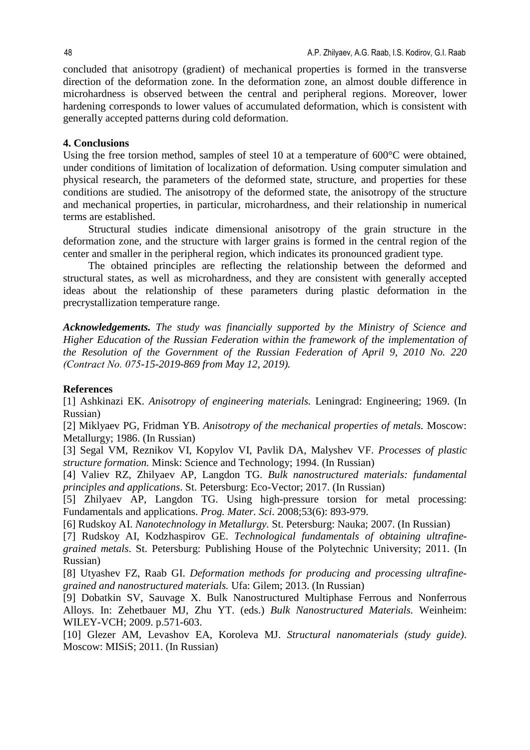concluded that anisotropy (gradient) of mechanical properties is formed in the transverse direction of the deformation zone. In the deformation zone, an almost double difference in microhardness is observed between the central and peripheral regions. Moreover, lower hardening corresponds to lower values of accumulated deformation, which is consistent with generally accepted patterns during cold deformation.

#### **4. Conclusions**

Using the free torsion method, samples of steel 10 at a temperature of 600<sup>o</sup>C were obtained, under conditions of limitation of localization of deformation. Using computer simulation and physical research, the parameters of the deformed state, structure, and properties for these conditions are studied. The anisotropy of the deformed state, the anisotropy of the structure and mechanical properties, in particular, microhardness, and their relationship in numerical terms are established.

Structural studies indicate dimensional anisotropy of the grain structure in the deformation zone, and the structure with larger grains is formed in the central region of the center and smaller in the peripheral region, which indicates its pronounced gradient type.

The obtained principles are reflecting the relationship between the deformed and structural states, as well as microhardness, and they are consistent with generally accepted ideas about the relationship of these parameters during plastic deformation in the precrystallization temperature range.

*Acknowledgements. The study was financially supported by the Ministry of Science and Higher Education of the Russian Federation within the framework of the implementation of the Resolution of the Government of the Russian Federation of April 9, 2010 No. 220 (Сontract No. 075-15-2019-869 from May 12, 2019).* 

#### **References**

[1] Ashkinazi EK. *Anisotropy of engineering materials.* Leningrad: Engineering; 1969. (In Russian)

[2] Miklyaev PG, Fridman YB. *Anisotropy of the mechanical properties of metals.* Moscow: Metallurgy; 1986. (In Russian)

[3] Segal VM, Reznikov VI, Kopylov VI, Pavlik DA, Malyshev VF. *Processes of plastic structure formation.* Minsk: Science and Technology; 1994. (In Russian)

[4] Valiev RZ, Zhilyaev AP, Langdon TG. *Bulk nanostructured materials: fundamental principles and applications*. St. Petersburg: Eco-Vector; 2017. (In Russian)

[5] Zhilyaev AP, Langdon TG. Using high-pressure torsion for metal processing: Fundamentals and applications. *Prog. Mater. Sci*. 2008;53(6): 893-979.

[6] Rudskoy AI. *Nanotechnology in Metallurgy.* St. Petersburg: Nauka; 2007. (In Russian)

[7] Rudskoy AI, Kodzhaspirov GE. *Technological fundamentals of obtaining ultrafinegrained metals*. St. Petersburg: Publishing House of the Polytechnic University; 2011. (In Russian)

[8] Utyashev FZ, Raab GI. *Deformation methods for producing and processing ultrafinegrained and nanostructured materials.* Ufa: Gilem; 2013. (In Russian)

[9] Dobatkin SV, Sauvage X. Bulk Nanostructured Multiphase Ferrous and Nonferrous Alloys. In: Zehetbauer MJ, Zhu YT. (eds.) *Bulk Nanostructured Materials.* Weinheim: WILEY-VCH; 2009. p.571-603.

[10] Glezer AM, Levashov EA, Koroleva MJ. *Structural nanomaterials (study guide)*. Moscow: MISiS; 2011. (In Russian)